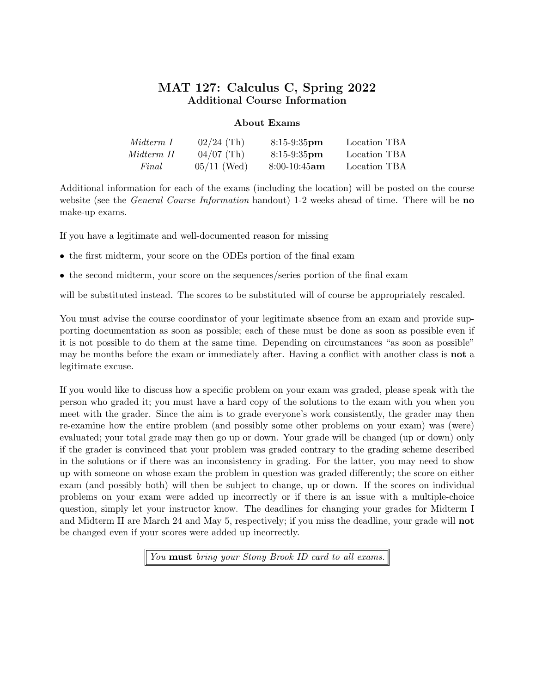# MAT 127: Calculus C, Spring 2022 Additional Course Information

# About Exams

| Midterm 1  | $02/24$ (Th)  | $8:15-9:35$ pm  | Location TBA |
|------------|---------------|-----------------|--------------|
| Midterm II | $04/07$ (Th)  | $8:15-9:35$ pm  | Location TBA |
| Final      | $05/11$ (Wed) | $8:00-10:45$ am | Location TBA |

Additional information for each of the exams (including the location) will be posted on the course website (see the *General Course Information* handout) 1-2 weeks ahead of time. There will be **no** make-up exams.

If you have a legitimate and well-documented reason for missing

- the first midterm, your score on the ODEs portion of the final exam
- the second midterm, your score on the sequences/series portion of the final exam

will be substituted instead. The scores to be substituted will of course be appropriately rescaled.

You must advise the course coordinator of your legitimate absence from an exam and provide supporting documentation as soon as possible; each of these must be done as soon as possible even if it is not possible to do them at the same time. Depending on circumstances "as soon as possible" may be months before the exam or immediately after. Having a conflict with another class is **not** a legitimate excuse.

If you would like to discuss how a specific problem on your exam was graded, please speak with the person who graded it; you must have a hard copy of the solutions to the exam with you when you meet with the grader. Since the aim is to grade everyone's work consistently, the grader may then re-examine how the entire problem (and possibly some other problems on your exam) was (were) evaluated; your total grade may then go up or down. Your grade will be changed (up or down) only if the grader is convinced that your problem was graded contrary to the grading scheme described in the solutions or if there was an inconsistency in grading. For the latter, you may need to show up with someone on whose exam the problem in question was graded differently; the score on either exam (and possibly both) will then be subject to change, up or down. If the scores on individual problems on your exam were added up incorrectly or if there is an issue with a multiple-choice question, simply let your instructor know. The deadlines for changing your grades for Midterm I and Midterm II are March 24 and May 5, respectively; if you miss the deadline, your grade will not be changed even if your scores were added up incorrectly.

You **must** bring your Stony Brook ID card to all exams.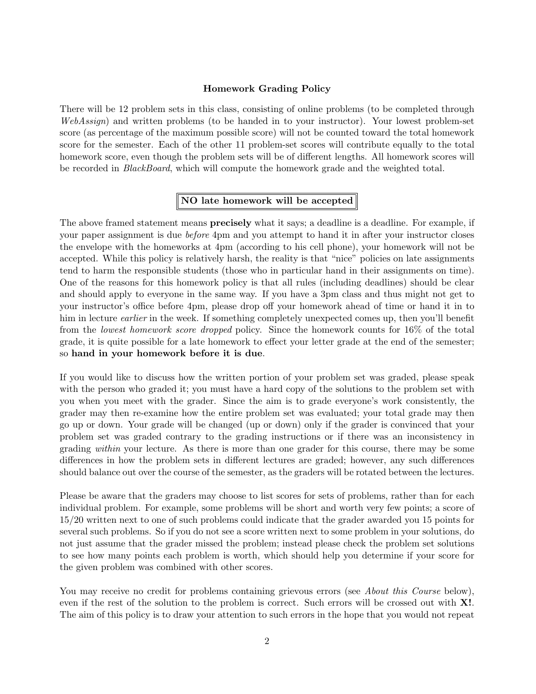#### Homework Grading Policy

There will be 12 problem sets in this class, consisting of online problems (to be completed through WebAssign) and written problems (to be handed in to your instructor). Your lowest problem-set score (as percentage of the maximum possible score) will not be counted toward the total homework score for the semester. Each of the other 11 problem-set scores will contribute equally to the total homework score, even though the problem sets will be of different lengths. All homework scores will be recorded in *BlackBoard*, which will compute the homework grade and the weighted total.

# NO late homework will be accepted

The above framed statement means **precisely** what it says; a deadline is a deadline. For example, if your paper assignment is due *before* 4pm and you attempt to hand it in after your instructor closes the envelope with the homeworks at 4pm (according to his cell phone), your homework will not be accepted. While this policy is relatively harsh, the reality is that "nice" policies on late assignments tend to harm the responsible students (those who in particular hand in their assignments on time). One of the reasons for this homework policy is that all rules (including deadlines) should be clear and should apply to everyone in the same way. If you have a 3pm class and thus might not get to your instructor's office before 4pm, please drop off your homework ahead of time or hand it in to him in lecture *earlier* in the week. If something completely unexpected comes up, then you'll benefit from the lowest homework score dropped policy. Since the homework counts for 16% of the total grade, it is quite possible for a late homework to effect your letter grade at the end of the semester; so hand in your homework before it is due.

If you would like to discuss how the written portion of your problem set was graded, please speak with the person who graded it; you must have a hard copy of the solutions to the problem set with you when you meet with the grader. Since the aim is to grade everyone's work consistently, the grader may then re-examine how the entire problem set was evaluated; your total grade may then go up or down. Your grade will be changed (up or down) only if the grader is convinced that your problem set was graded contrary to the grading instructions or if there was an inconsistency in grading within your lecture. As there is more than one grader for this course, there may be some differences in how the problem sets in different lectures are graded; however, any such differences should balance out over the course of the semester, as the graders will be rotated between the lectures.

Please be aware that the graders may choose to list scores for sets of problems, rather than for each individual problem. For example, some problems will be short and worth very few points; a score of 15/20 written next to one of such problems could indicate that the grader awarded you 15 points for several such problems. So if you do not see a score written next to some problem in your solutions, do not just assume that the grader missed the problem; instead please check the problem set solutions to see how many points each problem is worth, which should help you determine if your score for the given problem was combined with other scores.

You may receive no credit for problems containing grievous errors (see *About this Course* below), even if the rest of the solution to the problem is correct. Such errors will be crossed out with **X!**. The aim of this policy is to draw your attention to such errors in the hope that you would not repeat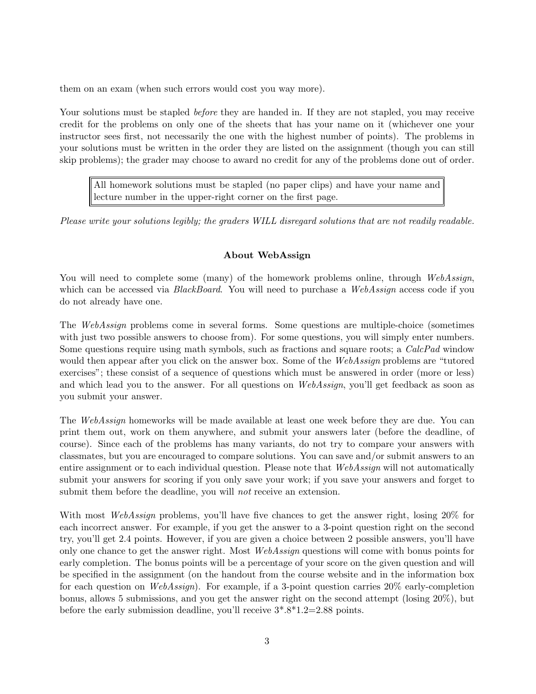them on an exam (when such errors would cost you way more).

Your solutions must be stapled *before* they are handed in. If they are not stapled, you may receive credit for the problems on only one of the sheets that has your name on it (whichever one your instructor sees first, not necessarily the one with the highest number of points). The problems in your solutions must be written in the order they are listed on the assignment (though you can still skip problems); the grader may choose to award no credit for any of the problems done out of order.

All homework solutions must be stapled (no paper clips) and have your name and lecture number in the upper-right corner on the first page.

Please write your solutions legibly; the graders WILL disregard solutions that are not readily readable.

# About WebAssign

You will need to complete some (many) of the homework problems online, through WebAssign, which can be accessed via *BlackBoard*. You will need to purchase a WebAssign access code if you do not already have one.

The WebAssign problems come in several forms. Some questions are multiple-choice (sometimes with just two possible answers to choose from). For some questions, you will simply enter numbers. Some questions require using math symbols, such as fractions and square roots; a CalcPad window would then appear after you click on the answer box. Some of the WebAssign problems are "tutored" exercises"; these consist of a sequence of questions which must be answered in order (more or less) and which lead you to the answer. For all questions on WebAssign, you'll get feedback as soon as you submit your answer.

The *WebAssign* homeworks will be made available at least one week before they are due. You can print them out, work on them anywhere, and submit your answers later (before the deadline, of course). Since each of the problems has many variants, do not try to compare your answers with classmates, but you are encouraged to compare solutions. You can save and/or submit answers to an entire assignment or to each individual question. Please note that WebAssign will not automatically submit your answers for scoring if you only save your work; if you save your answers and forget to submit them before the deadline, you will *not* receive an extension.

With most *WebAssign* problems, you'll have five chances to get the answer right, losing 20% for each incorrect answer. For example, if you get the answer to a 3-point question right on the second try, you'll get 2.4 points. However, if you are given a choice between 2 possible answers, you'll have only one chance to get the answer right. Most WebAssign questions will come with bonus points for early completion. The bonus points will be a percentage of your score on the given question and will be specified in the assignment (on the handout from the course website and in the information box for each question on *WebAssign*). For example, if a 3-point question carries  $20\%$  early-completion bonus, allows 5 submissions, and you get the answer right on the second attempt (losing 20%), but before the early submission deadline, you'll receive  $3^* \cdot 8^* \cdot 1 \cdot 2 = 2.88$  points.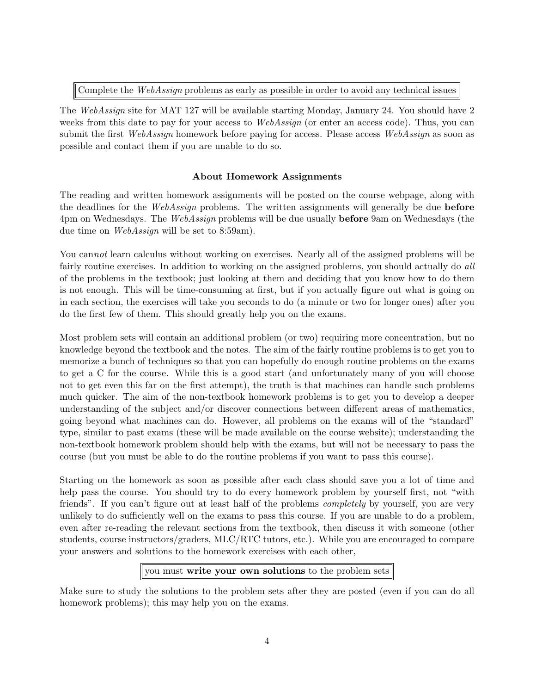Complete the WebAssign problems as early as possible in order to avoid any technical issues

The WebAssign site for MAT 127 will be available starting Monday, January 24. You should have 2 weeks from this date to pay for your access to WebAssign (or enter an access code). Thus, you can submit the first WebAssign homework before paying for access. Please access WebAssign as soon as possible and contact them if you are unable to do so.

# About Homework Assignments

The reading and written homework assignments will be posted on the course webpage, along with the deadlines for the WebAssign problems. The written assignments will generally be due **before** 4pm on Wednesdays. The WebAssign problems will be due usually **before** 9am on Wednesdays (the due time on *WebAssign* will be set to 8:59am).

You cannot learn calculus without working on exercises. Nearly all of the assigned problems will be fairly routine exercises. In addition to working on the assigned problems, you should actually do all of the problems in the textbook; just looking at them and deciding that you know how to do them is not enough. This will be time-consuming at first, but if you actually figure out what is going on in each section, the exercises will take you seconds to do (a minute or two for longer ones) after you do the first few of them. This should greatly help you on the exams.

Most problem sets will contain an additional problem (or two) requiring more concentration, but no knowledge beyond the textbook and the notes. The aim of the fairly routine problems is to get you to memorize a bunch of techniques so that you can hopefully do enough routine problems on the exams to get a C for the course. While this is a good start (and unfortunately many of you will choose not to get even this far on the first attempt), the truth is that machines can handle such problems much quicker. The aim of the non-textbook homework problems is to get you to develop a deeper understanding of the subject and/or discover connections between different areas of mathematics, going beyond what machines can do. However, all problems on the exams will of the "standard" type, similar to past exams (these will be made available on the course website); understanding the non-textbook homework problem should help with the exams, but will not be necessary to pass the course (but you must be able to do the routine problems if you want to pass this course).

Starting on the homework as soon as possible after each class should save you a lot of time and help pass the course. You should try to do every homework problem by yourself first, not "with" friends". If you can't figure out at least half of the problems *completely* by yourself, you are very unlikely to do sufficiently well on the exams to pass this course. If you are unable to do a problem, even after re-reading the relevant sections from the textbook, then discuss it with someone (other students, course instructors/graders, MLC/RTC tutors, etc.). While you are encouraged to compare your answers and solutions to the homework exercises with each other,

# you must write your own solutions to the problem sets

Make sure to study the solutions to the problem sets after they are posted (even if you can do all homework problems); this may help you on the exams.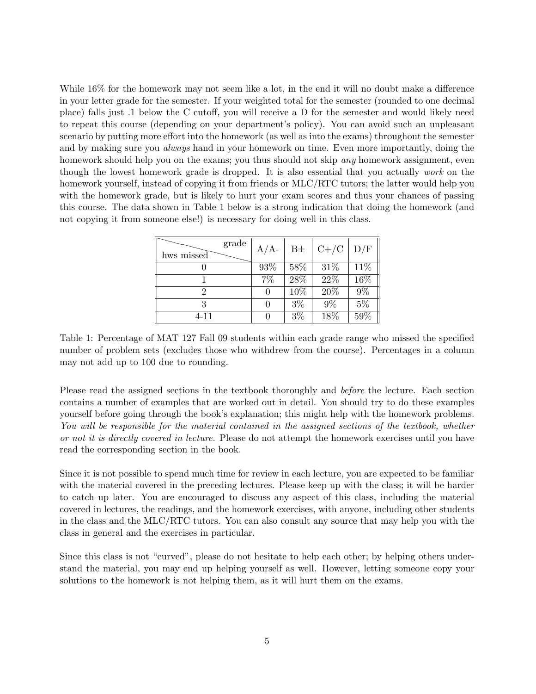While  $16\%$  for the homework may not seem like a lot, in the end it will no doubt make a difference in your letter grade for the semester. If your weighted total for the semester (rounded to one decimal place) falls just .1 below the C cutoff, you will receive a D for the semester and would likely need to repeat this course (depending on your department's policy). You can avoid such an unpleasant scenario by putting more effort into the homework (as well as into the exams) throughout the semester and by making sure you *always* hand in your homework on time. Even more importantly, doing the homework should help you on the exams; you thus should not skip *any* homework assignment, even though the lowest homework grade is dropped. It is also essential that you actually work on the homework yourself, instead of copying it from friends or MLC/RTC tutors; the latter would help you with the homework grade, but is likely to hurt your exam scores and thus your chances of passing this course. The data shown in Table 1 below is a strong indication that doing the homework (and not copying it from someone else!) is necessary for doing well in this class.

| grade<br>hws missed | $A/A$ - | $B\pm$ | $ C+/C $ | D/F   |
|---------------------|---------|--------|----------|-------|
|                     | 93%     | 58%    | 31\%     | 11\%  |
|                     | 7%      | 28%    | 22\%     | 16%   |
|                     | 0       | 10%    | 20%      | $9\%$ |
| २                   |         | $3\%$  | $9\%$    | $5\%$ |
| 4-11                |         | $3\%$  | 18%      | 59%   |

Table 1: Percentage of MAT 127 Fall 09 students within each grade range who missed the specified number of problem sets (excludes those who withdrew from the course). Percentages in a column may not add up to 100 due to rounding.

Please read the assigned sections in the textbook thoroughly and before the lecture. Each section contains a number of examples that are worked out in detail. You should try to do these examples yourself before going through the book's explanation; this might help with the homework problems. You will be responsible for the material contained in the assigned sections of the textbook, whether or not it is directly covered in lecture. Please do not attempt the homework exercises until you have read the corresponding section in the book.

Since it is not possible to spend much time for review in each lecture, you are expected to be familiar with the material covered in the preceding lectures. Please keep up with the class; it will be harder to catch up later. You are encouraged to discuss any aspect of this class, including the material covered in lectures, the readings, and the homework exercises, with anyone, including other students in the class and the MLC/RTC tutors. You can also consult any source that may help you with the class in general and the exercises in particular.

Since this class is not "curved", please do not hesitate to help each other; by helping others understand the material, you may end up helping yourself as well. However, letting someone copy your solutions to the homework is not helping them, as it will hurt them on the exams.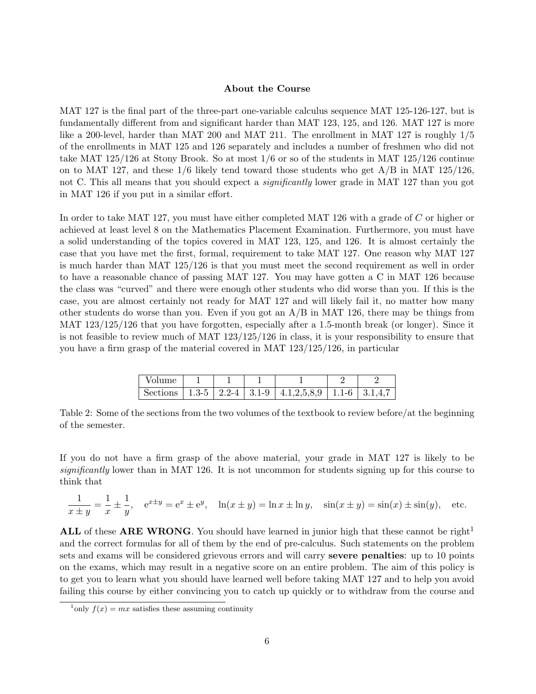#### About the Course

MAT 127 is the final part of the three-part one-variable calculus sequence MAT 125-126-127, but is fundamentally different from and significant harder than MAT 123, 125, and 126. MAT 127 is more like a 200-level, harder than MAT 200 and MAT 211. The enrollment in MAT 127 is roughly 1/5 of the enrollments in MAT 125 and 126 separately and includes a number of freshmen who did not take MAT 125/126 at Stony Brook. So at most 1/6 or so of the students in MAT 125/126 continue on to MAT 127, and these  $1/6$  likely tend toward those students who get  $A/B$  in MAT 125/126, not C. This all means that you should expect a *significantly* lower grade in MAT 127 than you got in MAT 126 if you put in a similar effort.

In order to take MAT 127, you must have either completed MAT 126 with a grade of C or higher or achieved at least level 8 on the Mathematics Placement Examination. Furthermore, you must have a solid understanding of the topics covered in MAT 123, 125, and 126. It is almost certainly the case that you have met the first, formal, requirement to take MAT 127. One reason why MAT 127 is much harder than MAT 125/126 is that you must meet the second requirement as well in order to have a reasonable chance of passing MAT 127. You may have gotten a C in MAT 126 because the class was "curved" and there were enough other students who did worse than you. If this is the case, you are almost certainly not ready for MAT 127 and will likely fail it, no matter how many other students do worse than you. Even if you got an A/B in MAT 126, there may be things from MAT 123/125/126 that you have forgotten, especially after a 1.5-month break (or longer). Since it is not feasible to review much of MAT 123/125/126 in class, it is your responsibility to ensure that you have a firm grasp of the material covered in MAT 123/125/126, in particular

| – Volume |  |                                                                  |  |
|----------|--|------------------------------------------------------------------|--|
|          |  | Sections   1.3-5   2.2-4   3.1-9   4.1,2,5,8,9   1.1-6   3.1,4,7 |  |

Table 2: Some of the sections from the two volumes of the textbook to review before/at the beginning of the semester.

If you do not have a firm grasp of the above material, your grade in MAT 127 is likely to be significantly lower than in MAT 126. It is not uncommon for students signing up for this course to think that

$$
\frac{1}{x \pm y} = \frac{1}{x} \pm \frac{1}{y}, \quad e^{x \pm y} = e^x \pm e^y, \quad \ln(x \pm y) = \ln x \pm \ln y, \quad \sin(x \pm y) = \sin(x) \pm \sin(y), \quad \text{etc.}
$$

ALL of these ARE WRONG. You should have learned in junior high that these cannot be right<sup>1</sup> and the correct formulas for all of them by the end of pre-calculus. Such statements on the problem sets and exams will be considered grievous errors and will carry severe penalties: up to 10 points on the exams, which may result in a negative score on an entire problem. The aim of this policy is to get you to learn what you should have learned well before taking MAT 127 and to help you avoid failing this course by either convincing you to catch up quickly or to withdraw from the course and

<sup>&</sup>lt;sup>1</sup>only  $f(x) = mx$  satisfies these assuming continuity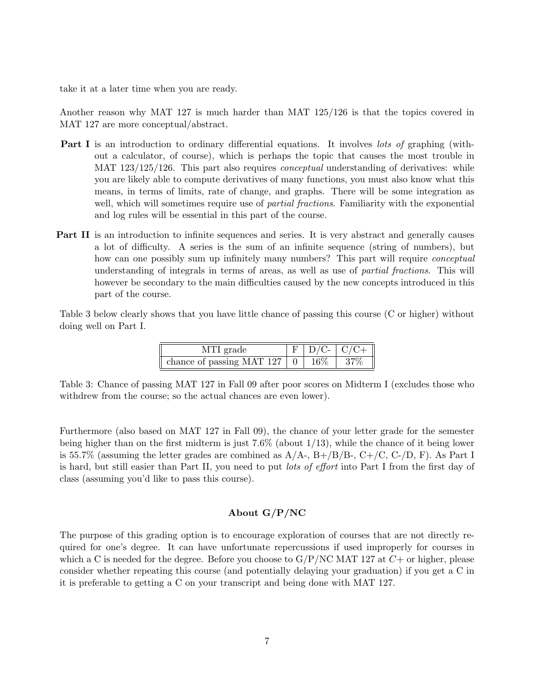take it at a later time when you are ready.

Another reason why MAT 127 is much harder than MAT 125/126 is that the topics covered in MAT 127 are more conceptual/abstract.

- Part I is an introduction to ordinary differential equations. It involves lots of graphing (without a calculator, of course), which is perhaps the topic that causes the most trouble in MAT 123/125/126. This part also requires *conceptual* understanding of derivatives: while you are likely able to compute derivatives of many functions, you must also know what this means, in terms of limits, rate of change, and graphs. There will be some integration as well, which will sometimes require use of *partial fractions*. Familiarity with the exponential and log rules will be essential in this part of the course.
- Part II is an introduction to infinite sequences and series. It is very abstract and generally causes a lot of difficulty. A series is the sum of an infinite sequence (string of numbers), but how can one possibly sum up infinitely many numbers? This part will require *conceptual* understanding of integrals in terms of areas, as well as use of partial fractions. This will however be secondary to the main difficulties caused by the new concepts introduced in this part of the course.

Table 3 below clearly shows that you have little chance of passing this course (C or higher) without doing well on Part I.

| MTI grade                 |      | $D/C C/C+$ |
|---------------------------|------|------------|
| chance of passing MAT 127 | 16\% |            |

Table 3: Chance of passing MAT 127 in Fall 09 after poor scores on Midterm I (excludes those who withdrew from the course; so the actual chances are even lower).

Furthermore (also based on MAT 127 in Fall 09), the chance of your letter grade for the semester being higher than on the first midterm is just  $7.6\%$  (about  $1/13$ ), while the chance of it being lower is 55.7% (assuming the letter grades are combined as  $A/A$ -,  $B+/B/B$ -,  $C+/C$ ,  $C-D$ , F). As Part I is hard, but still easier than Part II, you need to put lots of effort into Part I from the first day of class (assuming you'd like to pass this course).

# About G/P/NC

The purpose of this grading option is to encourage exploration of courses that are not directly required for one's degree. It can have unfortunate repercussions if used improperly for courses in which a C is needed for the degree. Before you choose to  $G/P/NC$  MAT 127 at  $C+$  or higher, please consider whether repeating this course (and potentially delaying your graduation) if you get a C in it is preferable to getting a C on your transcript and being done with MAT 127.